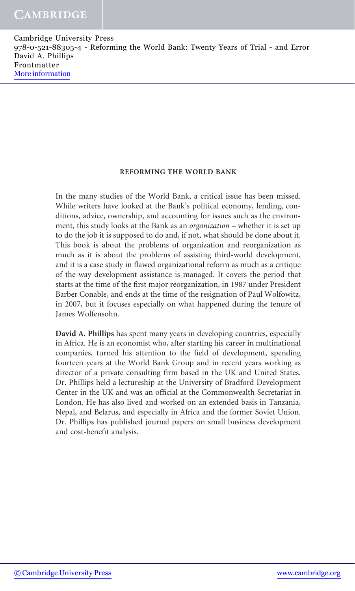#### REFORMING THE WORLD BANK

In the many studies of the World Bank, a critical issue has been missed. While writers have looked at the Bank's political economy, lending, conditions, advice, ownership, and accounting for issues such as the environment, this study looks at the Bank as an organization – whether it is set up to do the job it is supposed to do and, if not, what should be done about it. This book is about the problems of organization and reorganization as much as it is about the problems of assisting third-world development, and it is a case study in flawed organizational reform as much as a critique of the way development assistance is managed. It covers the period that starts at the time of the first major reorganization, in 1987 under President Barber Conable, and ends at the time of the resignation of Paul Wolfowitz, in 2007, but it focuses especially on what happened during the tenure of James Wolfensohn.

David A. Phillips has spent many years in developing countries, especially in Africa. He is an economist who, after starting his career in multinational companies, turned his attention to the field of development, spending fourteen years at the World Bank Group and in recent years working as director of a private consulting firm based in the UK and United States. Dr. Phillips held a lectureship at the University of Bradford Development Center in the UK and was an official at the Commonwealth Secretariat in London. He has also lived and worked on an extended basis in Tanzania, Nepal, and Belarus, and especially in Africa and the former Soviet Union. Dr. Phillips has published journal papers on small business development and cost-benefit analysis.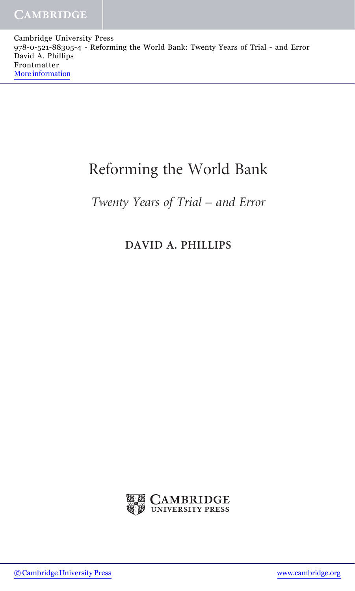# Reforming the World Bank

## Twenty Years of Trial – and Error

### DAVID A. PHILLIPS

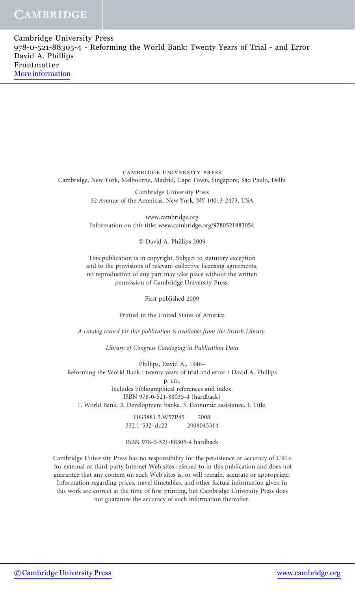> cambridge university press Cambridge, New York, Melbourne, Madrid, Cape Town, Singapore, São Paulo, Delhi

> > Cambridge University Press 32 Avenue of the Americas, New York, NY 10013-2473, USA

> > www.cambridge.org Information on this title: www.cambridge.org/9780521883054

> > > David A. Phillips 2009

This publication is in copyright. Subject to statutory exception and to the provisions of relevant collective licensing agreements, no reproduction of any part may take place without the written permission of Cambridge University Press.

First published 2009

Printed in the United States of America

A catalog record for this publication is available from the British Library.

Library of Congress Cataloging in Publication Data

Phillips, David A., 1946– Reforming the World Bank : twenty years of trial and error / David A. Phillips p. cm. Includes bibliographical references and index. ISBN 978-0-521-88035-4 (hardback)

1. World Bank. 2. Development banks. 3. Economic assistance. I. Title.

HG3881.5.W57P45 2008 332.1'532-dc22 2008045314

ISBN 978-0-521-88305-4 hardback

Cambridge University Press has no responsibility for the persistence or accuracy of URLs for external or third-party Internet Web sites referred to in this publication and does not guarantee that any content on such Web sites is, or will remain, accurate or appropriate. Information regarding prices, travel timetables, and other factual information given in this work are correct at the time of first printing, but Cambridge University Press does not guarantee the accuracy of such information thereafter.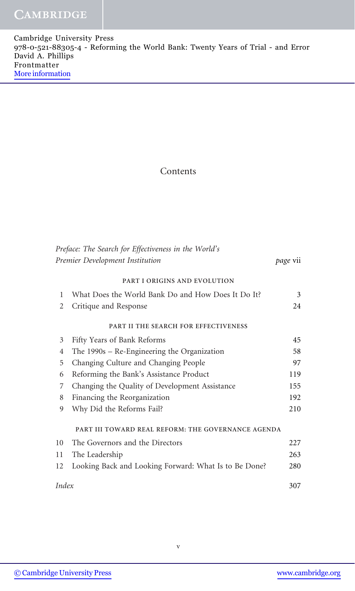#### Contents

| Preface: The Search for Effectiveness in the World's |                                                       |                 |
|------------------------------------------------------|-------------------------------------------------------|-----------------|
| Premier Development Institution                      |                                                       | <i>page</i> vii |
|                                                      |                                                       |                 |
| <b>PART I ORIGINS AND EVOLUTION</b>                  |                                                       |                 |
| $\mathbf{1}$                                         | What Does the World Bank Do and How Does It Do It?    | 3               |
| $\mathfrak{D}_{\mathfrak{p}}$                        | Critique and Response                                 | 2.4             |
|                                                      | PART II THE SEARCH FOR EFFECTIVENESS                  |                 |
| 3                                                    | Fifty Years of Bank Reforms                           | 45              |
| 4                                                    | The 1990s – Re-Engineering the Organization           | 58              |
| 5                                                    | Changing Culture and Changing People                  | 97              |
| 6                                                    | Reforming the Bank's Assistance Product               | 119             |
| 7                                                    | Changing the Quality of Development Assistance        | 155             |
| 8                                                    | Financing the Reorganization                          | 192             |
| 9                                                    | Why Did the Reforms Fail?                             | 210             |
|                                                      | PART III TOWARD REAL REFORM: THE GOVERNANCE AGENDA    |                 |
| 10 <sup>1</sup>                                      | The Governors and the Directors                       | 227             |
| 11                                                   | The Leadership                                        | 263             |
| 12                                                   | Looking Back and Looking Forward: What Is to Be Done? | 280             |
|                                                      | Index                                                 |                 |

v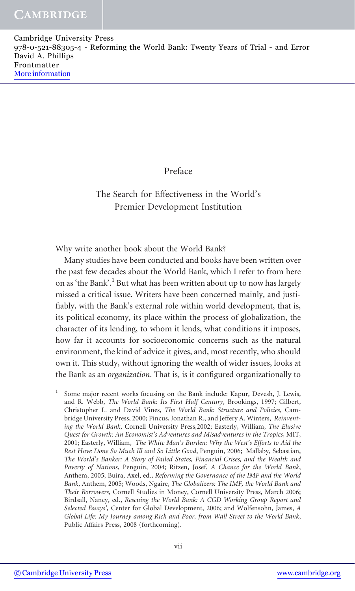#### Preface

### The Search for Effectiveness in the World's Premier Development Institution

Why write another book about the World Bank?

Many studies have been conducted and books have been written over the past few decades about the World Bank, which I refer to from here on as 'the Bank'.<sup>1</sup> But what has been written about up to now has largely missed a critical issue. Writers have been concerned mainly, and justifiably, with the Bank's external role within world development, that is, its political economy, its place within the process of globalization, the character of its lending, to whom it lends, what conditions it imposes, how far it accounts for socioeconomic concerns such as the natural environment, the kind of advice it gives, and, most recently, who should own it. This study, without ignoring the wealth of wider issues, looks at the Bank as an organization. That is, is it configured organizationally to

Some major recent works focusing on the Bank include: Kapur, Devesh, J. Lewis, and R. Webb, The World Bank: Its First Half Century, Brookings, 1997; Gilbert, Christopher L. and David Vines, The World Bank: Structure and Policies, Cambridge University Press, 2000; Pincus, Jonathan R., and Jeffery A. Winters, Reinventing the World Bank, Cornell University Press,2002; Easterly, William, The Elusive Quest for Growth: An Economist's Adventures and Misadventures in the Tropics, MIT, 2001; Easterly, William, The White Man's Burden: Why the West's Efforts to Aid the Rest Have Done So Much Ill and So Little Good, Penguin, 2006; Mallaby, Sebastian, The World's Banker: A Story of Failed States, Financial Crises, and the Wealth and Poverty of Nations, Penguin, 2004; Ritzen, Josef, A Chance for the World Bank, Anthem, 2005; Buira, Axel, ed., Reforming the Governance of the IMF and the World Bank, Anthem, 2005; Woods, Ngaire, The Globalizers: The IMF, the World Bank and Their Borrowers, Cornell Studies in Money, Cornell University Press, March 2006; Birdsall, Nancy, ed., Rescuing the World Bank: A CGD Working Group Report and Selected Essays', Center for Global Development, 2006; and Wolfensohn, James, A Global Life: My Journey among Rich and Poor, from Wall Street to the World Bank, Public Affairs Press, 2008 (forthcoming).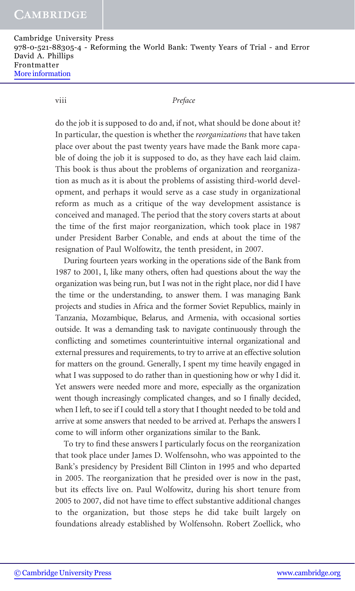#### viii Preface

do the job it is supposed to do and, if not, what should be done about it? In particular, the question is whether the reorganizations that have taken place over about the past twenty years have made the Bank more capable of doing the job it is supposed to do, as they have each laid claim. This book is thus about the problems of organization and reorganization as much as it is about the problems of assisting third-world development, and perhaps it would serve as a case study in organizational reform as much as a critique of the way development assistance is conceived and managed. The period that the story covers starts at about the time of the first major reorganization, which took place in 1987 under President Barber Conable, and ends at about the time of the resignation of Paul Wolfowitz, the tenth president, in 2007.

During fourteen years working in the operations side of the Bank from 1987 to 2001, I, like many others, often had questions about the way the organization was being run, but I was not in the right place, nor did I have the time or the understanding, to answer them. I was managing Bank projects and studies in Africa and the former Soviet Republics, mainly in Tanzania, Mozambique, Belarus, and Armenia, with occasional sorties outside. It was a demanding task to navigate continuously through the conflicting and sometimes counterintuitive internal organizational and external pressures and requirements, to try to arrive at an effective solution for matters on the ground. Generally, I spent my time heavily engaged in what I was supposed to do rather than in questioning how or why I did it. Yet answers were needed more and more, especially as the organization went though increasingly complicated changes, and so I finally decided, when I left, to see if I could tell a story that I thought needed to be told and arrive at some answers that needed to be arrived at. Perhaps the answers I come to will inform other organizations similar to the Bank.

To try to find these answers I particularly focus on the reorganization that took place under James D. Wolfensohn, who was appointed to the Bank's presidency by President Bill Clinton in 1995 and who departed in 2005. The reorganization that he presided over is now in the past, but its effects live on. Paul Wolfowitz, during his short tenure from 2005 to 2007, did not have time to effect substantive additional changes to the organization, but those steps he did take built largely on foundations already established by Wolfensohn. Robert Zoellick, who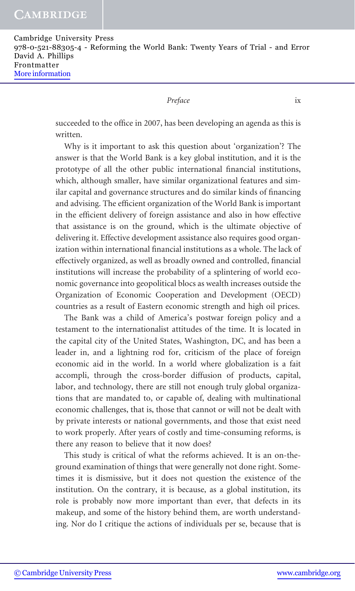#### Preface ix

succeeded to the office in 2007, has been developing an agenda as this is written.

Why is it important to ask this question about 'organization'? The answer is that the World Bank is a key global institution, and it is the prototype of all the other public international financial institutions, which, although smaller, have similar organizational features and similar capital and governance structures and do similar kinds of financing and advising. The efficient organization of the World Bank is important in the efficient delivery of foreign assistance and also in how effective that assistance is on the ground, which is the ultimate objective of delivering it. Effective development assistance also requires good organization within international financial institutions as a whole. The lack of effectively organized, as well as broadly owned and controlled, financial institutions will increase the probability of a splintering of world economic governance into geopolitical blocs as wealth increases outside the Organization of Economic Cooperation and Development (OECD) countries as a result of Eastern economic strength and high oil prices.

The Bank was a child of America's postwar foreign policy and a testament to the internationalist attitudes of the time. It is located in the capital city of the United States, Washington, DC, and has been a leader in, and a lightning rod for, criticism of the place of foreign economic aid in the world. In a world where globalization is a fait accompli, through the cross-border diffusion of products, capital, labor, and technology, there are still not enough truly global organizations that are mandated to, or capable of, dealing with multinational economic challenges, that is, those that cannot or will not be dealt with by private interests or national governments, and those that exist need to work properly. After years of costly and time-consuming reforms, is there any reason to believe that it now does?

This study is critical of what the reforms achieved. It is an on-theground examination of things that were generally not done right. Sometimes it is dismissive, but it does not question the existence of the institution. On the contrary, it is because, as a global institution, its role is probably now more important than ever, that defects in its makeup, and some of the history behind them, are worth understanding. Nor do I critique the actions of individuals per se, because that is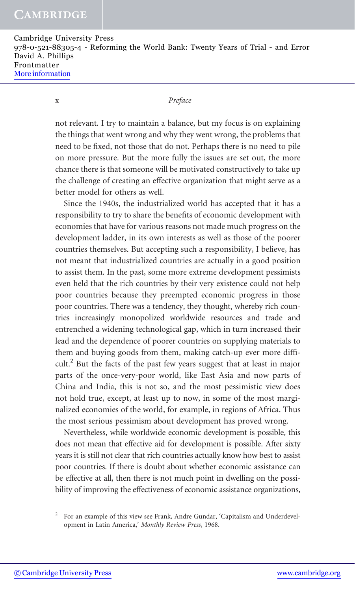#### x Preface

not relevant. I try to maintain a balance, but my focus is on explaining the things that went wrong and why they went wrong, the problems that need to be fixed, not those that do not. Perhaps there is no need to pile on more pressure. But the more fully the issues are set out, the more chance there is that someone will be motivated constructively to take up the challenge of creating an effective organization that might serve as a better model for others as well.

Since the 1940s, the industrialized world has accepted that it has a responsibility to try to share the benefits of economic development with economies that have for various reasons not made much progress on the development ladder, in its own interests as well as those of the poorer countries themselves. But accepting such a responsibility, I believe, has not meant that industrialized countries are actually in a good position to assist them. In the past, some more extreme development pessimists even held that the rich countries by their very existence could not help poor countries because they preempted economic progress in those poor countries. There was a tendency, they thought, whereby rich countries increasingly monopolized worldwide resources and trade and entrenched a widening technological gap, which in turn increased their lead and the dependence of poorer countries on supplying materials to them and buying goods from them, making catch-up ever more difficult.<sup>2</sup> But the facts of the past few years suggest that at least in major parts of the once-very-poor world, like East Asia and now parts of China and India, this is not so, and the most pessimistic view does not hold true, except, at least up to now, in some of the most marginalized economies of the world, for example, in regions of Africa. Thus the most serious pessimism about development has proved wrong.

Nevertheless, while worldwide economic development is possible, this does not mean that effective aid for development is possible. After sixty years it is still not clear that rich countries actually know how best to assist poor countries. If there is doubt about whether economic assistance can be effective at all, then there is not much point in dwelling on the possibility of improving the effectiveness of economic assistance organizations,

<sup>2</sup> For an example of this view see Frank, Andre Gundar, 'Capitalism and Underdevelopment in Latin America,' Monthly Review Press, 1968.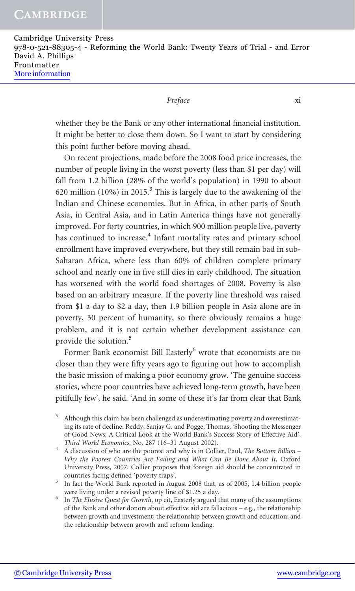#### Preface xi

whether they be the Bank or any other international financial institution. It might be better to close them down. So I want to start by considering this point further before moving ahead.

On recent projections, made before the 2008 food price increases, the number of people living in the worst poverty (less than \$1 per day) will fall from 1.2 billion (28% of the world's population) in 1990 to about 620 million (10%) in 2015.<sup>3</sup> This is largely due to the awakening of the Indian and Chinese economies. But in Africa, in other parts of South Asia, in Central Asia, and in Latin America things have not generally improved. For forty countries, in which 900 million people live, poverty has continued to increase.<sup>4</sup> Infant mortality rates and primary school enrollment have improved everywhere, but they still remain bad in sub-Saharan Africa, where less than 60% of children complete primary school and nearly one in five still dies in early childhood. The situation has worsened with the world food shortages of 2008. Poverty is also based on an arbitrary measure. If the poverty line threshold was raised from \$1 a day to \$2 a day, then 1.9 billion people in Asia alone are in poverty, 30 percent of humanity, so there obviously remains a huge problem, and it is not certain whether development assistance can provide the solution.<sup>5</sup>

Former Bank economist Bill Easterly<sup>6</sup> wrote that economists are no closer than they were fifty years ago to figuring out how to accomplish the basic mission of making a poor economy grow. 'The genuine success stories, where poor countries have achieved long-term growth, have been pitifully few', he said. 'And in some of these it's far from clear that Bank

- Although this claim has been challenged as underestimating poverty and overestimating its rate of decline. Reddy, Sanjay G. and Pogge, Thomas, 'Shooting the Messenger of Good News: A Critical Look at the World Bank's Success Story of Effective Aid',
- Third World Economics, No. 287 (16–31 August 2002). <sup>4</sup> A discussion of who are the poorest and why is in Collier, Paul, The Bottom Billion Why the Poorest Countries Are Failing and What Can Be Done About It, Oxford University Press, 2007. Collier proposes that foreign aid should be concentrated in
- <sup>5</sup> In fact the World Bank reported in August 2008 that, as of 2005, 1.4 billion people were living under a revised poverty line of \$1.25 a day.
- <sup>6</sup> In *The Elusive Quest for Growth*, op cit, Easterly argued that many of the assumptions of the Bank and other donors about effective aid are fallacious – e.g., the relationship between growth and investment; the relationship between growth and education; and the relationship between growth and reform lending.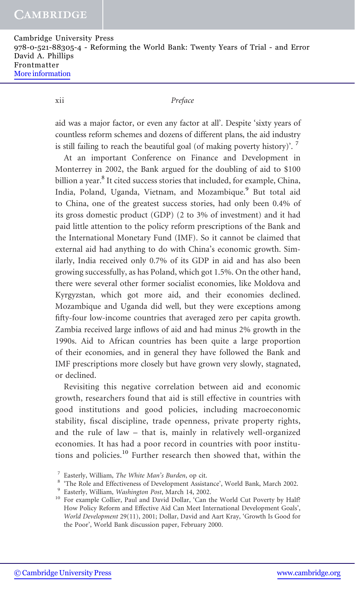#### xii Preface

aid was a major factor, or even any factor at all'. Despite 'sixty years of countless reform schemes and dozens of different plans, the aid industry is still failing to reach the beautiful goal (of making poverty history)'.  $7$ 

At an important Conference on Finance and Development in Monterrey in 2002, the Bank argued for the doubling of aid to \$100 billion a year.<sup>8</sup> It cited success stories that included, for example, China, India, Poland, Uganda, Vietnam, and Mozambique.<sup>9</sup> But total aid to China, one of the greatest success stories, had only been 0.4% of its gross domestic product (GDP) (2 to 3% of investment) and it had paid little attention to the policy reform prescriptions of the Bank and the International Monetary Fund (IMF). So it cannot be claimed that external aid had anything to do with China's economic growth. Similarly, India received only 0.7% of its GDP in aid and has also been growing successfully, as has Poland, which got 1.5%. On the other hand, there were several other former socialist economies, like Moldova and Kyrgyzstan, which got more aid, and their economies declined. Mozambique and Uganda did well, but they were exceptions among fifty-four low-income countries that averaged zero per capita growth. Zambia received large inflows of aid and had minus 2% growth in the 1990s. Aid to African countries has been quite a large proportion of their economies, and in general they have followed the Bank and IMF prescriptions more closely but have grown very slowly, stagnated, or declined.

Revisiting this negative correlation between aid and economic growth, researchers found that aid is still effective in countries with good institutions and good policies, including macroeconomic stability, fiscal discipline, trade openness, private property rights, and the rule of law – that is, mainly in relatively well-organized economies. It has had a poor record in countries with poor institutions and policies.<sup>10</sup> Further research then showed that, within the

 $^7$  Easterly, William, *The White Man's Burden*, op cit.<br><sup>8</sup> 'The Role and Effectiveness of Development Assistance', World Bank, March 2002.<br><sup>9</sup> Easterly, William, *Washington Post*, March 14, 2002.<br><sup>10</sup> For example Coll How Policy Reform and Effective Aid Can Meet International Development Goals', World Development 29(11), 2001; Dollar, David and Aart Kray, 'Growth Is Good for the Poor', World Bank discussion paper, February 2000.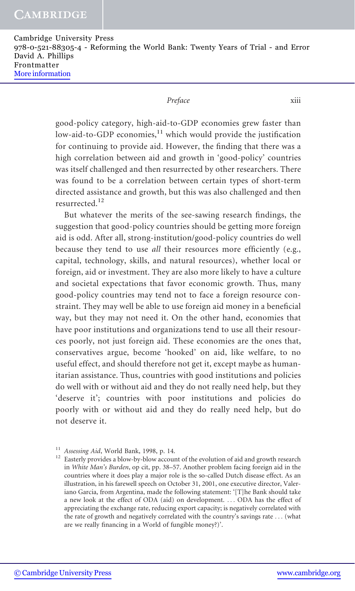#### Preface xiii

good-policy category, high-aid-to-GDP economies grew faster than low-aid-to-GDP economies, $^{11}$  which would provide the justification for continuing to provide aid. However, the finding that there was a high correlation between aid and growth in 'good-policy' countries was itself challenged and then resurrected by other researchers. There was found to be a correlation between certain types of short-term directed assistance and growth, but this was also challenged and then resurrected.<sup>12</sup>

But whatever the merits of the see-sawing research findings, the suggestion that good-policy countries should be getting more foreign aid is odd. After all, strong-institution/good-policy countries do well because they tend to use all their resources more efficiently (e.g., capital, technology, skills, and natural resources), whether local or foreign, aid or investment. They are also more likely to have a culture and societal expectations that favor economic growth. Thus, many good-policy countries may tend not to face a foreign resource constraint. They may well be able to use foreign aid money in a beneficial way, but they may not need it. On the other hand, economies that have poor institutions and organizations tend to use all their resources poorly, not just foreign aid. These economies are the ones that, conservatives argue, become 'hooked' on aid, like welfare, to no useful effect, and should therefore not get it, except maybe as humanitarian assistance. Thus, countries with good institutions and policies do well with or without aid and they do not really need help, but they 'deserve it'; countries with poor institutions and policies do poorly with or without aid and they do really need help, but do not deserve it.

 $^{11}$  Assessing Aid, World Bank, 1998, p. 14.  $^{12}$  Easterly provides a blow-by-blow account of the evolution of aid and growth research in White Man's Burden, op cit, pp. 38–57. Another problem facing foreign aid in the countries where it does play a major role is the so-called Dutch disease effect. As an illustration, in his farewell speech on October 31, 2001, one executive director, Valeriano Garcia, from Argentina, made the following statement: '[T]he Bank should take a new look at the effect of ODA (aid) on development. ... ODA has the effect of appreciating the exchange rate, reducing export capacity; is negatively correlated with the rate of growth and negatively correlated with the country's savings rate ... (what are we really financing in a World of fungible money?)'.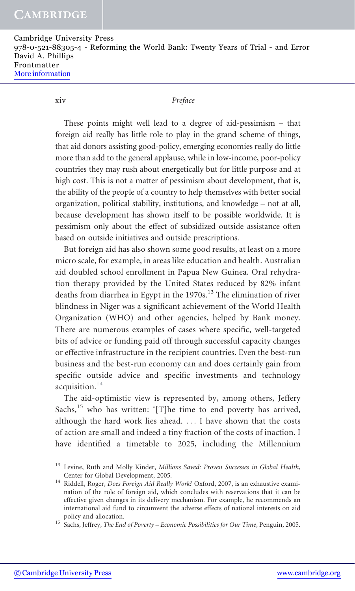#### xiv Preface

These points might well lead to a degree of aid-pessimism – that foreign aid really has little role to play in the grand scheme of things, that aid donors assisting good-policy, emerging economies really do little more than add to the general applause, while in low-income, poor-policy countries they may rush about energetically but for little purpose and at high cost. This is not a matter of pessimism about development, that is, the ability of the people of a country to help themselves with better social organization, political stability, institutions, and knowledge – not at all, because development has shown itself to be possible worldwide. It is pessimism only about the effect of subsidized outside assistance often based on outside initiatives and outside prescriptions.

But foreign aid has also shown some good results, at least on a more micro scale, for example, in areas like education and health. Australian aid doubled school enrollment in Papua New Guinea. Oral rehydration therapy provided by the United States reduced by 82% infant deaths from diarrhea in Egypt in the 1970s.<sup>13</sup> The elimination of river blindness in Niger was a significant achievement of the World Health Organization (WHO) and other agencies, helped by Bank money. There are numerous examples of cases where specific, well-targeted bits of advice or funding paid off through successful capacity changes or effective infrastructure in the recipient countries. Even the best-run business and the best-run economy can and does certainly gain from specific outside advice and specific investments and technology acquisition.<sup>14</sup>

The aid-optimistic view is represented by, among others, Jeffery Sachs, $15$  who has written: '[T]he time to end poverty has arrived, although the hard work lies ahead. ... I have shown that the costs of action are small and indeed a tiny fraction of the costs of inaction. I have identified a timetable to 2025, including the Millennium

<sup>&</sup>lt;sup>13</sup> Levine, Ruth and Molly Kinder, Millions Saved: Proven Successes in Global Health,

Center for Global Development, 2005. 14 Riddell, Roger, *Does Foreign Aid Really Work?* Oxford, 2007, is an exhaustive examination of the role of foreign aid, which concludes with reservations that it can be effective given changes in its delivery mechanism. For example, he recommends an international aid fund to circumvent the adverse effects of national interests on aid

<sup>&</sup>lt;sup>15</sup> Sachs, Jeffrey, *The End of Poverty – Economic Possibilities for Our Time*, Penguin, 2005.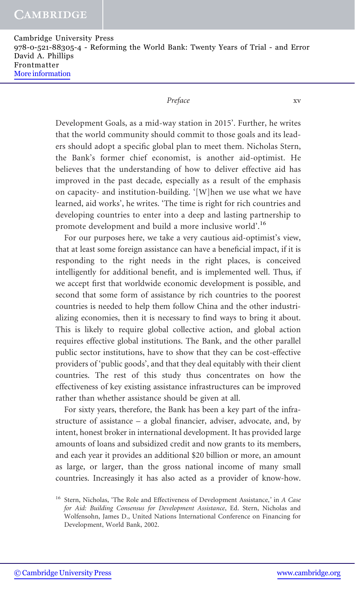#### Preface xv

Development Goals, as a mid-way station in 2015'. Further, he writes that the world community should commit to those goals and its leaders should adopt a specific global plan to meet them. Nicholas Stern, the Bank's former chief economist, is another aid-optimist. He believes that the understanding of how to deliver effective aid has improved in the past decade, especially as a result of the emphasis on capacity- and institution-building. '[W]hen we use what we have learned, aid works', he writes. 'The time is right for rich countries and developing countries to enter into a deep and lasting partnership to promote development and build a more inclusive world'.<sup>16</sup>

For our purposes here, we take a very cautious aid-optimist's view, that at least some foreign assistance can have a beneficial impact, if it is responding to the right needs in the right places, is conceived intelligently for additional benefit, and is implemented well. Thus, if we accept first that worldwide economic development is possible, and second that some form of assistance by rich countries to the poorest countries is needed to help them follow China and the other industrializing economies, then it is necessary to find ways to bring it about. This is likely to require global collective action, and global action requires effective global institutions. The Bank, and the other parallel public sector institutions, have to show that they can be cost-effective providers of 'public goods', and that they deal equitably with their client countries. The rest of this study thus concentrates on how the effectiveness of key existing assistance infrastructures can be improved rather than whether assistance should be given at all.

For sixty years, therefore, the Bank has been a key part of the infrastructure of assistance – a global financier, adviser, advocate, and, by intent, honest broker in international development. It has provided large amounts of loans and subsidized credit and now grants to its members, and each year it provides an additional \$20 billion or more, an amount as large, or larger, than the gross national income of many small countries. Increasingly it has also acted as a provider of know-how.

<sup>&</sup>lt;sup>16</sup> Stern, Nicholas, 'The Role and Effectiveness of Development Assistance,' in A Case for Aid: Building Consensus for Development Assistance, Ed. Stern, Nicholas and Wolfensohn, James D., United Nations International Conference on Financing for Development, World Bank, 2002.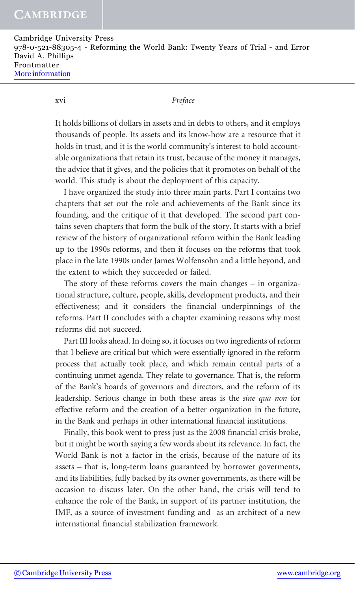#### xvi Preface

It holds billions of dollars in assets and in debts to others, and it employs thousands of people. Its assets and its know-how are a resource that it holds in trust, and it is the world community's interest to hold accountable organizations that retain its trust, because of the money it manages, the advice that it gives, and the policies that it promotes on behalf of the world. This study is about the deployment of this capacity.

I have organized the study into three main parts. Part I contains two chapters that set out the role and achievements of the Bank since its founding, and the critique of it that developed. The second part contains seven chapters that form the bulk of the story. It starts with a brief review of the history of organizational reform within the Bank leading up to the 1990s reforms, and then it focuses on the reforms that took place in the late 1990s under James Wolfensohn and a little beyond, and the extent to which they succeeded or failed.

The story of these reforms covers the main changes – in organizational structure, culture, people, skills, development products, and their effectiveness; and it considers the financial underpinnings of the reforms. Part II concludes with a chapter examining reasons why most reforms did not succeed.

Part III looks ahead. In doing so, it focuses on two ingredients of reform that I believe are critical but which were essentially ignored in the reform process that actually took place, and which remain central parts of a continuing unmet agenda. They relate to governance. That is, the reform of the Bank's boards of governors and directors, and the reform of its leadership. Serious change in both these areas is the sine qua non for effective reform and the creation of a better organization in the future, in the Bank and perhaps in other international financial institutions.

Finally, this book went to press just as the 2008 financial crisis broke, but it might be worth saying a few words about its relevance. In fact, the World Bank is not a factor in the crisis, because of the nature of its assets – that is, long-term loans guaranteed by borrower goverments, and its liabilities, fully backed by its owner governments, as there will be occasion to discuss later. On the other hand, the crisis will tend to enhance the role of the Bank, in support of its partner institution, the IMF, as a source of investment funding and as an architect of a new international financial stabilization framework.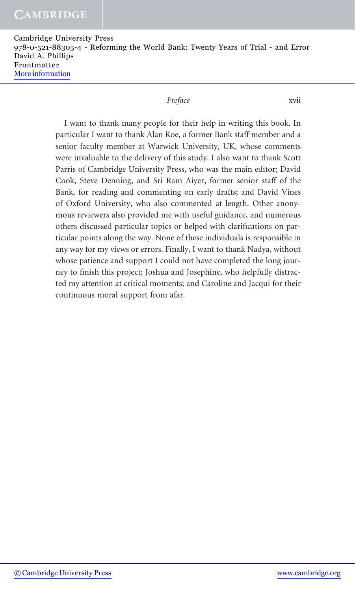#### Preface xvii

I want to thank many people for their help in writing this book. In particular I want to thank Alan Roe, a former Bank staff member and a senior faculty member at Warwick University, UK, whose comments were invaluable to the delivery of this study. I also want to thank Scott Parris of Cambridge University Press, who was the main editor; David Cook, Steve Denning, and Sri Ram Aiyer, former senior staff of the Bank, for reading and commenting on early drafts; and David Vines of Oxford University, who also commented at length. Other anonymous reviewers also provided me with useful guidance, and numerous others discussed particular topics or helped with clarifications on particular points along the way. None of these individuals is responsible in any way for my views or errors. Finally, I want to thank Nadya, without whose patience and support I could not have completed the long journey to finish this project; Joshua and Josephine, who helpfully distracted my attention at critical moments; and Caroline and Jacqui for their continuous moral support from afar.